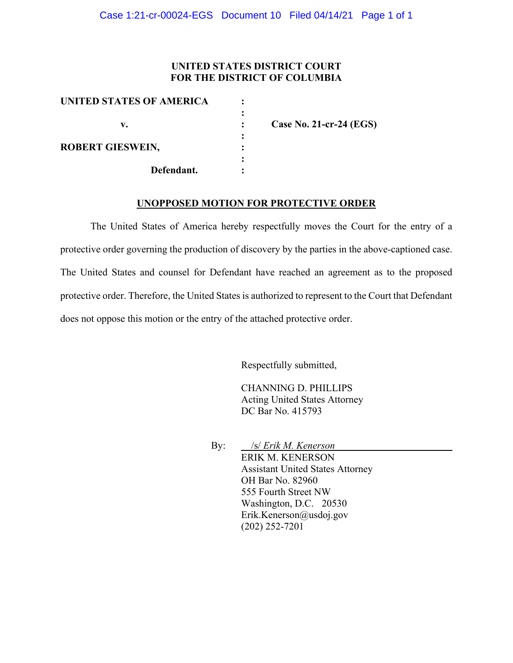## **UNITED STATES DISTRICT COURT FOR THE DISTRICT OF COLUMBIA**

| UNITED STATES OF AMERICA |                         |
|--------------------------|-------------------------|
| v.                       | Case No. 21-cr-24 (EGS) |
| <b>ROBERT GIESWEIN,</b>  |                         |
| Defendant.               |                         |

#### **UNOPPOSED MOTION FOR PROTECTIVE ORDER**

The United States of America hereby respectfully moves the Court for the entry of a protective order governing the production of discovery by the parties in the above-captioned case. The United States and counsel for Defendant have reached an agreement as to the proposed protective order. Therefore, the United States is authorized to represent to the Court that Defendant does not oppose this motion or the entry of the attached protective order.

Respectfully submitted,

CHANNING D. PHILLIPS Acting United States Attorney DC Bar No. 415793

By: /s/ *Erik M. Kenerson* ERIK M. KENERSON Assistant United States Attorney OH Bar No. 82960 555 Fourth Street NW Washington, D.C. 20530 Erik.Kenerson@usdoj.gov (202) 252-7201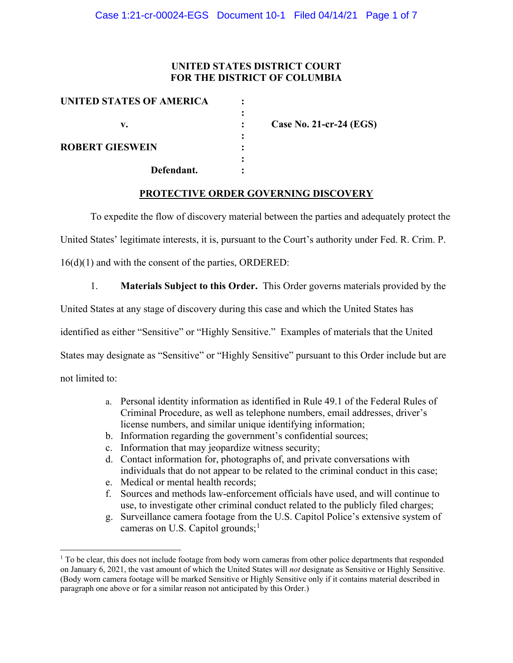## **UNITED STATES DISTRICT COURT FOR THE DISTRICT OF COLUMBIA**

| UNITED STATES OF AMERICA |                         |
|--------------------------|-------------------------|
| v.                       | Case No. 21-cr-24 (EGS) |
| <b>ROBERT GIESWEIN</b>   |                         |
| Defendant.               |                         |

### **PROTECTIVE ORDER GOVERNING DISCOVERY**

To expedite the flow of discovery material between the parties and adequately protect the

United States' legitimate interests, it is, pursuant to the Court's authority under Fed. R. Crim. P.

16(d)(1) and with the consent of the parties, ORDERED:

1. **Materials Subject to this Order.** This Order governs materials provided by the

United States at any stage of discovery during this case and which the United States has

identified as either "Sensitive" or "Highly Sensitive." Examples of materials that the United

States may designate as "Sensitive" or "Highly Sensitive" pursuant to this Order include but are

not limited to:

- a. Personal identity information as identified in Rule 49.1 of the Federal Rules of Criminal Procedure, as well as telephone numbers, email addresses, driver's license numbers, and similar unique identifying information;
- b. Information regarding the government's confidential sources;
- c. Information that may jeopardize witness security;
- d. Contact information for, photographs of, and private conversations with individuals that do not appear to be related to the criminal conduct in this case;
- e. Medical or mental health records;
- f. Sources and methods law-enforcement officials have used, and will continue to use, to investigate other criminal conduct related to the publicly filed charges;
- g. Surveillance camera footage from the U.S. Capitol Police's extensive system of cameras on U.S. Capitol grounds;<sup>1</sup>

 $1$  To be clear, this does not include footage from body worn cameras from other police departments that responded on January 6, 2021, the vast amount of which the United States will *not* designate as Sensitive or Highly Sensitive. (Body worn camera footage will be marked Sensitive or Highly Sensitive only if it contains material described in paragraph one above or for a similar reason not anticipated by this Order.)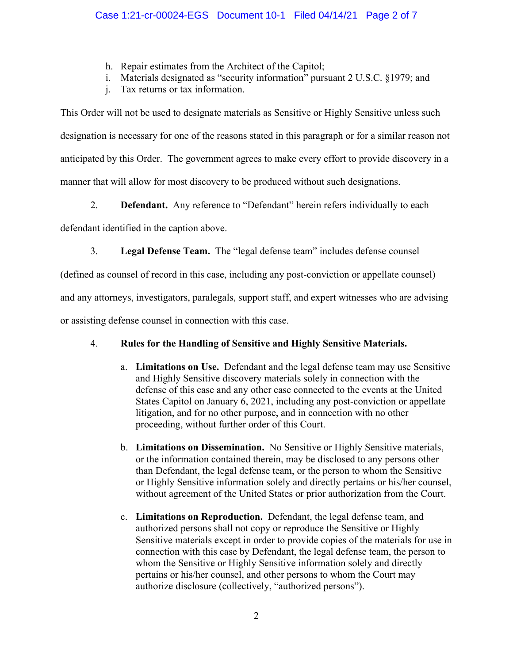- h. Repair estimates from the Architect of the Capitol;
- i. Materials designated as "security information" pursuant 2 U.S.C. §1979; and
- j. Tax returns or tax information.

This Order will not be used to designate materials as Sensitive or Highly Sensitive unless such designation is necessary for one of the reasons stated in this paragraph or for a similar reason not anticipated by this Order. The government agrees to make every effort to provide discovery in a manner that will allow for most discovery to be produced without such designations.

2. **Defendant.** Any reference to "Defendant" herein refers individually to each

defendant identified in the caption above.

3. **Legal Defense Team.** The "legal defense team" includes defense counsel

(defined as counsel of record in this case, including any post-conviction or appellate counsel)

and any attorneys, investigators, paralegals, support staff, and expert witnesses who are advising

or assisting defense counsel in connection with this case.

# 4. **Rules for the Handling of Sensitive and Highly Sensitive Materials.**

- a. **Limitations on Use.** Defendant and the legal defense team may use Sensitive and Highly Sensitive discovery materials solely in connection with the defense of this case and any other case connected to the events at the United States Capitol on January 6, 2021, including any post-conviction or appellate litigation, and for no other purpose, and in connection with no other proceeding, without further order of this Court.
- b. **Limitations on Dissemination.** No Sensitive or Highly Sensitive materials, or the information contained therein, may be disclosed to any persons other than Defendant, the legal defense team, or the person to whom the Sensitive or Highly Sensitive information solely and directly pertains or his/her counsel, without agreement of the United States or prior authorization from the Court.
- c. **Limitations on Reproduction.** Defendant, the legal defense team, and authorized persons shall not copy or reproduce the Sensitive or Highly Sensitive materials except in order to provide copies of the materials for use in connection with this case by Defendant, the legal defense team, the person to whom the Sensitive or Highly Sensitive information solely and directly pertains or his/her counsel, and other persons to whom the Court may authorize disclosure (collectively, "authorized persons").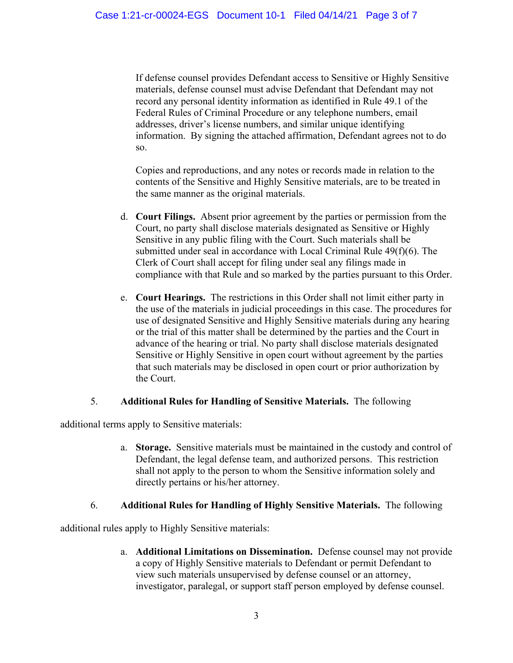If defense counsel provides Defendant access to Sensitive or Highly Sensitive materials, defense counsel must advise Defendant that Defendant may not record any personal identity information as identified in Rule 49.1 of the Federal Rules of Criminal Procedure or any telephone numbers, email addresses, driver's license numbers, and similar unique identifying information. By signing the attached affirmation, Defendant agrees not to do so.

Copies and reproductions, and any notes or records made in relation to the contents of the Sensitive and Highly Sensitive materials, are to be treated in the same manner as the original materials.

- d. **Court Filings.** Absent prior agreement by the parties or permission from the Court, no party shall disclose materials designated as Sensitive or Highly Sensitive in any public filing with the Court. Such materials shall be submitted under seal in accordance with Local Criminal Rule 49(f)(6). The Clerk of Court shall accept for filing under seal any filings made in compliance with that Rule and so marked by the parties pursuant to this Order.
- e. **Court Hearings.** The restrictions in this Order shall not limit either party in the use of the materials in judicial proceedings in this case. The procedures for use of designated Sensitive and Highly Sensitive materials during any hearing or the trial of this matter shall be determined by the parties and the Court in advance of the hearing or trial. No party shall disclose materials designated Sensitive or Highly Sensitive in open court without agreement by the parties that such materials may be disclosed in open court or prior authorization by the Court.

# 5. **Additional Rules for Handling of Sensitive Materials.** The following

additional terms apply to Sensitive materials:

a. **Storage.** Sensitive materials must be maintained in the custody and control of Defendant, the legal defense team, and authorized persons. This restriction shall not apply to the person to whom the Sensitive information solely and directly pertains or his/her attorney.

# 6. **Additional Rules for Handling of Highly Sensitive Materials.** The following

additional rules apply to Highly Sensitive materials:

a. **Additional Limitations on Dissemination.** Defense counsel may not provide a copy of Highly Sensitive materials to Defendant or permit Defendant to view such materials unsupervised by defense counsel or an attorney, investigator, paralegal, or support staff person employed by defense counsel.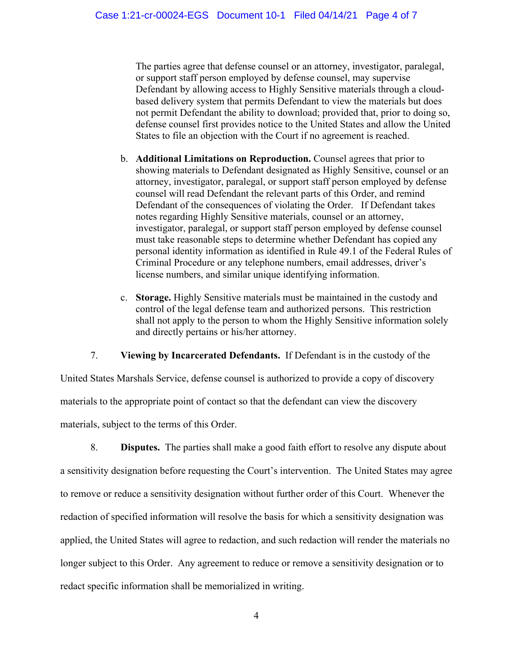The parties agree that defense counsel or an attorney, investigator, paralegal, or support staff person employed by defense counsel, may supervise Defendant by allowing access to Highly Sensitive materials through a cloudbased delivery system that permits Defendant to view the materials but does not permit Defendant the ability to download; provided that, prior to doing so, defense counsel first provides notice to the United States and allow the United States to file an objection with the Court if no agreement is reached.

- b. **Additional Limitations on Reproduction.** Counsel agrees that prior to showing materials to Defendant designated as Highly Sensitive, counsel or an attorney, investigator, paralegal, or support staff person employed by defense counsel will read Defendant the relevant parts of this Order, and remind Defendant of the consequences of violating the Order. If Defendant takes notes regarding Highly Sensitive materials, counsel or an attorney, investigator, paralegal, or support staff person employed by defense counsel must take reasonable steps to determine whether Defendant has copied any personal identity information as identified in Rule 49.1 of the Federal Rules of Criminal Procedure or any telephone numbers, email addresses, driver's license numbers, and similar unique identifying information.
- c. **Storage.** Highly Sensitive materials must be maintained in the custody and control of the legal defense team and authorized persons. This restriction shall not apply to the person to whom the Highly Sensitive information solely and directly pertains or his/her attorney.

7. **Viewing by Incarcerated Defendants.** If Defendant is in the custody of the

United States Marshals Service, defense counsel is authorized to provide a copy of discovery materials to the appropriate point of contact so that the defendant can view the discovery materials, subject to the terms of this Order.

8. **Disputes.** The parties shall make a good faith effort to resolve any dispute about a sensitivity designation before requesting the Court's intervention. The United States may agree to remove or reduce a sensitivity designation without further order of this Court. Whenever the redaction of specified information will resolve the basis for which a sensitivity designation was applied, the United States will agree to redaction, and such redaction will render the materials no longer subject to this Order. Any agreement to reduce or remove a sensitivity designation or to redact specific information shall be memorialized in writing.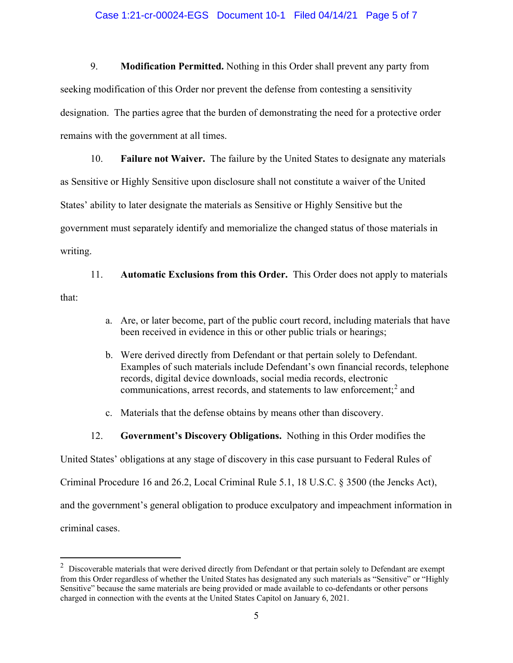### Case 1:21-cr-00024-EGS Document 10-1 Filed 04/14/21 Page 5 of 7

9. **Modification Permitted.** Nothing in this Order shall prevent any party from seeking modification of this Order nor prevent the defense from contesting a sensitivity designation. The parties agree that the burden of demonstrating the need for a protective order remains with the government at all times.

10. **Failure not Waiver.** The failure by the United States to designate any materials as Sensitive or Highly Sensitive upon disclosure shall not constitute a waiver of the United States' ability to later designate the materials as Sensitive or Highly Sensitive but the government must separately identify and memorialize the changed status of those materials in writing.

11. **Automatic Exclusions from this Order.** This Order does not apply to materials that:

- a. Are, or later become, part of the public court record, including materials that have been received in evidence in this or other public trials or hearings;
- b. Were derived directly from Defendant or that pertain solely to Defendant. Examples of such materials include Defendant's own financial records, telephone records, digital device downloads, social media records, electronic communications, arrest records, and statements to law enforcement; <sup>2</sup> and
- c. Materials that the defense obtains by means other than discovery.
- 12. **Government's Discovery Obligations.** Nothing in this Order modifies the

United States' obligations at any stage of discovery in this case pursuant to Federal Rules of

Criminal Procedure 16 and 26.2, Local Criminal Rule 5.1, 18 U.S.C. § 3500 (the Jencks Act),

and the government's general obligation to produce exculpatory and impeachment information in

criminal cases.

 $2$  Discoverable materials that were derived directly from Defendant or that pertain solely to Defendant are exempt from this Order regardless of whether the United States has designated any such materials as "Sensitive" or "Highly Sensitive" because the same materials are being provided or made available to co-defendants or other persons charged in connection with the events at the United States Capitol on January 6, 2021.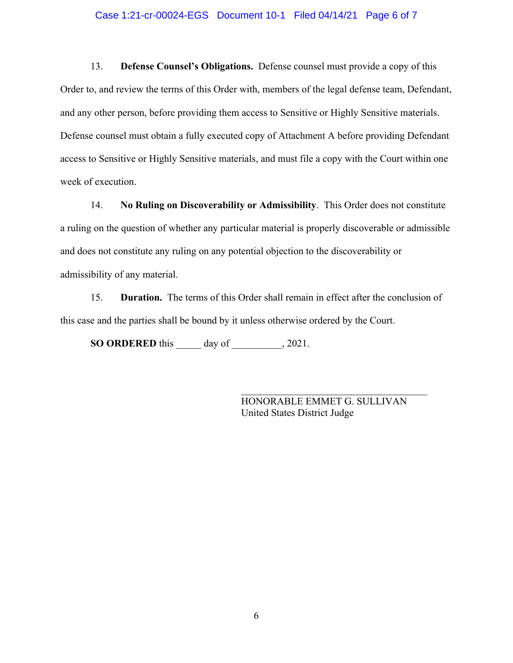#### Case 1:21-cr-00024-EGS Document 10-1 Filed 04/14/21 Page 6 of 7

13. **Defense Counsel's Obligations.** Defense counsel must provide a copy of this Order to, and review the terms of this Order with, members of the legal defense team, Defendant, and any other person, before providing them access to Sensitive or Highly Sensitive materials. Defense counsel must obtain a fully executed copy of Attachment A before providing Defendant access to Sensitive or Highly Sensitive materials, and must file a copy with the Court within one week of execution.

14. **No Ruling on Discoverability or Admissibility**. This Order does not constitute a ruling on the question of whether any particular material is properly discoverable or admissible and does not constitute any ruling on any potential objection to the discoverability or admissibility of any material.

15. **Duration.** The terms of this Order shall remain in effect after the conclusion of this case and the parties shall be bound by it unless otherwise ordered by the Court.

**SO ORDERED** this \_\_\_\_\_ day of \_\_\_\_\_\_\_\_\_\_, 2021.

HONORABLE EMMET G. SULLIVAN United States District Judge

\_\_\_\_\_\_\_\_\_\_\_\_\_\_\_\_\_\_\_\_\_\_\_\_\_\_\_\_\_\_\_\_\_\_\_\_\_